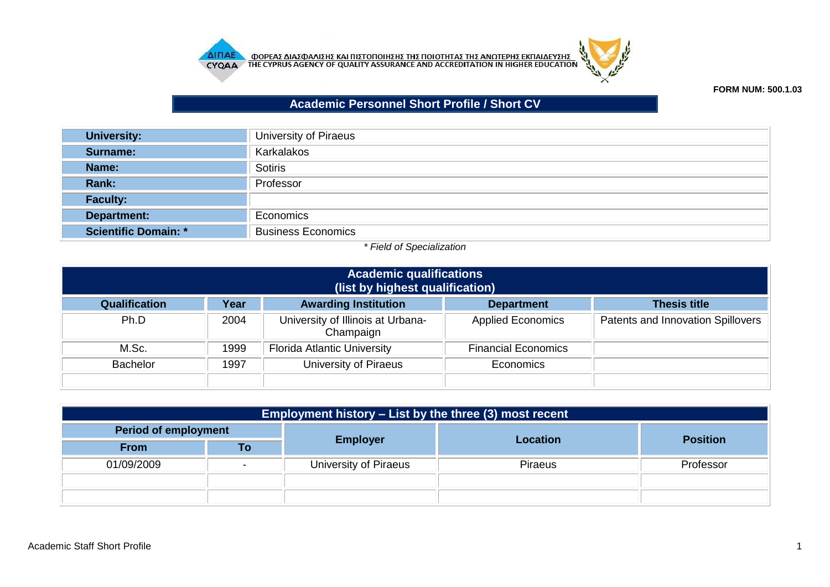



## **FORM NUM: 500.1.03**

## **Academic Personnel Short Profile / Short CV**

| <b>University:</b>          | University of Piraeus     |
|-----------------------------|---------------------------|
| Surname:                    | Karkalakos                |
| Name:                       | <b>Sotiris</b>            |
| Rank:                       | Professor                 |
| <b>Faculty:</b>             |                           |
| Department:                 | Economics                 |
| <b>Scientific Domain: *</b> | <b>Business Economics</b> |

## *\* Field of Specialization*

| <b>Academic qualifications</b><br>(list by highest qualification) |                                                                                 |                                                |                            |                                          |  |  |
|-------------------------------------------------------------------|---------------------------------------------------------------------------------|------------------------------------------------|----------------------------|------------------------------------------|--|--|
| Qualification                                                     | <b>Awarding Institution</b><br><b>Thesis title</b><br>Year<br><b>Department</b> |                                                |                            |                                          |  |  |
| Ph.D                                                              | 2004                                                                            | University of Illinois at Urbana-<br>Champaign | <b>Applied Economics</b>   | <b>Patents and Innovation Spillovers</b> |  |  |
| M.Sc.                                                             | 1999                                                                            | <b>Florida Atlantic University</b>             | <b>Financial Economics</b> |                                          |  |  |
| <b>Bachelor</b>                                                   | 1997                                                                            | University of Piraeus                          | Economics                  |                                          |  |  |

| <b>Employment history – List by the three (3) most recent</b> |    |                       |                |                 |  |  |
|---------------------------------------------------------------|----|-----------------------|----------------|-----------------|--|--|
| <b>Period of employment</b>                                   |    |                       |                |                 |  |  |
| <b>From</b>                                                   | Τo | <b>Employer</b>       | Location       | <b>Position</b> |  |  |
| 01/09/2009                                                    | -  | University of Piraeus | <b>Piraeus</b> | Professor       |  |  |
|                                                               |    |                       |                |                 |  |  |
|                                                               |    |                       |                |                 |  |  |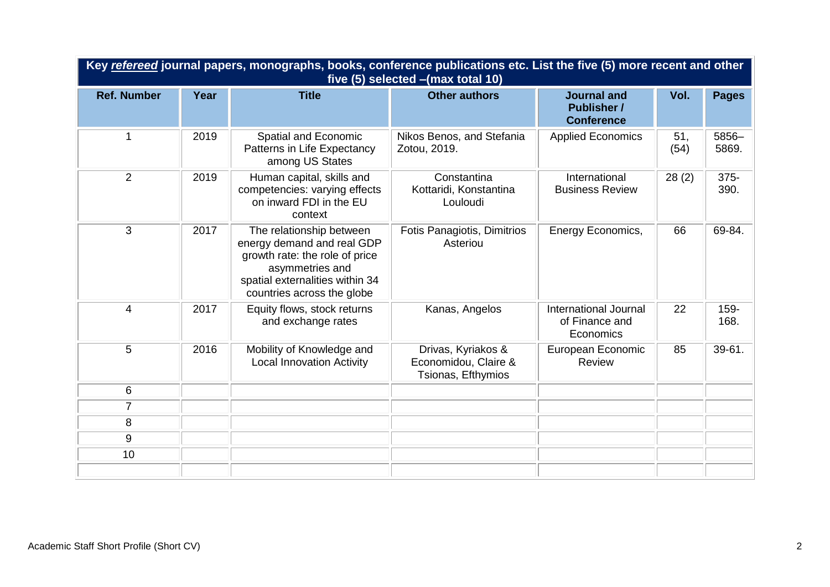| Key refereed journal papers, monographs, books, conference publications etc. List the five (5) more recent and other<br>five (5) selected - (max total 10) |      |                                                                                                                                                                              |                                                                  |                                                               |             |                |
|------------------------------------------------------------------------------------------------------------------------------------------------------------|------|------------------------------------------------------------------------------------------------------------------------------------------------------------------------------|------------------------------------------------------------------|---------------------------------------------------------------|-------------|----------------|
| <b>Ref. Number</b>                                                                                                                                         | Year | <b>Title</b>                                                                                                                                                                 | <b>Other authors</b>                                             | <b>Journal and</b><br><b>Publisher /</b><br><b>Conference</b> | Vol.        | <b>Pages</b>   |
| $\mathbf 1$                                                                                                                                                | 2019 | Spatial and Economic<br>Patterns in Life Expectancy<br>among US States                                                                                                       | Nikos Benos, and Stefania<br>Zotou, 2019.                        | <b>Applied Economics</b>                                      | 51,<br>(54) | 5856-<br>5869. |
| $\overline{2}$                                                                                                                                             | 2019 | Human capital, skills and<br>competencies: varying effects<br>on inward FDI in the EU<br>context                                                                             | Constantina<br>Kottaridi, Konstantina<br>Louloudi                | International<br><b>Business Review</b>                       | 28(2)       | 375-<br>390.   |
| 3                                                                                                                                                          | 2017 | The relationship between<br>energy demand and real GDP<br>growth rate: the role of price<br>asymmetries and<br>spatial externalities within 34<br>countries across the globe | Fotis Panagiotis, Dimitrios<br>Asteriou                          | Energy Economics,                                             | 66          | 69-84.         |
| $\overline{4}$                                                                                                                                             | 2017 | Equity flows, stock returns<br>and exchange rates                                                                                                                            | Kanas, Angelos                                                   | International Journal<br>of Finance and<br>Economics          | 22          | 159-<br>168.   |
| 5                                                                                                                                                          | 2016 | Mobility of Knowledge and<br><b>Local Innovation Activity</b>                                                                                                                | Drivas, Kyriakos &<br>Economidou, Claire &<br>Tsionas, Efthymios | European Economic<br>Review                                   | 85          | 39-61.         |
| 6                                                                                                                                                          |      |                                                                                                                                                                              |                                                                  |                                                               |             |                |
| $\overline{7}$                                                                                                                                             |      |                                                                                                                                                                              |                                                                  |                                                               |             |                |
| 8                                                                                                                                                          |      |                                                                                                                                                                              |                                                                  |                                                               |             |                |
| 9                                                                                                                                                          |      |                                                                                                                                                                              |                                                                  |                                                               |             |                |
| 10                                                                                                                                                         |      |                                                                                                                                                                              |                                                                  |                                                               |             |                |
|                                                                                                                                                            |      |                                                                                                                                                                              |                                                                  |                                                               |             |                |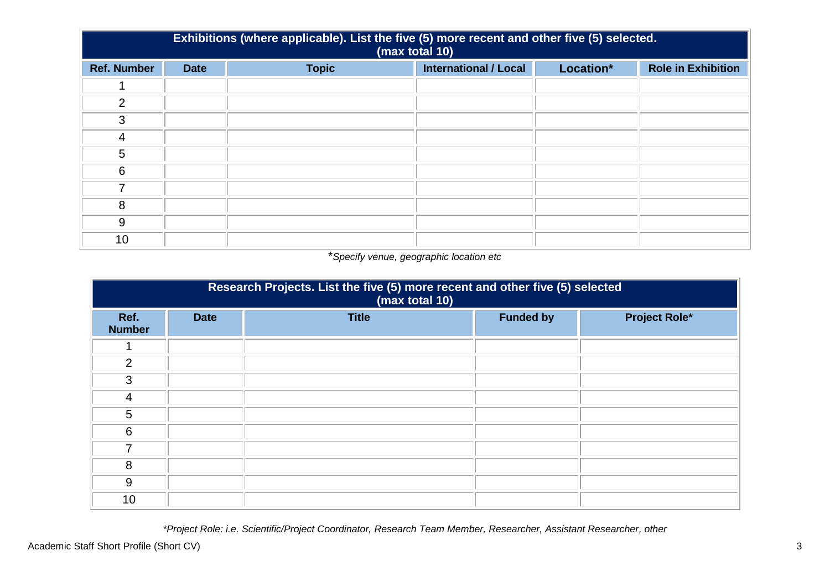| Exhibitions (where applicable). List the five (5) more recent and other five (5) selected.<br>(max total 10) |             |              |                              |           |                           |  |
|--------------------------------------------------------------------------------------------------------------|-------------|--------------|------------------------------|-----------|---------------------------|--|
| <b>Ref. Number</b>                                                                                           | <b>Date</b> | <b>Topic</b> | <b>International / Local</b> | Location* | <b>Role in Exhibition</b> |  |
|                                                                                                              |             |              |                              |           |                           |  |
| 2                                                                                                            |             |              |                              |           |                           |  |
| 3                                                                                                            |             |              |                              |           |                           |  |
| $\overline{4}$                                                                                               |             |              |                              |           |                           |  |
| 5                                                                                                            |             |              |                              |           |                           |  |
| 6                                                                                                            |             |              |                              |           |                           |  |
|                                                                                                              |             |              |                              |           |                           |  |
| 8                                                                                                            |             |              |                              |           |                           |  |
| 9                                                                                                            |             |              |                              |           |                           |  |
| 10                                                                                                           |             |              |                              |           |                           |  |

## \**Specify venue, geographic location etc*

| Research Projects. List the five (5) more recent and other five (5) selected<br>(max total 10) |             |              |                  |                      |  |  |
|------------------------------------------------------------------------------------------------|-------------|--------------|------------------|----------------------|--|--|
| Ref.<br><b>Number</b>                                                                          | <b>Date</b> | <b>Title</b> | <b>Funded by</b> | <b>Project Role*</b> |  |  |
|                                                                                                |             |              |                  |                      |  |  |
| $\overline{2}$                                                                                 |             |              |                  |                      |  |  |
| 3                                                                                              |             |              |                  |                      |  |  |
| 4                                                                                              |             |              |                  |                      |  |  |
| 5                                                                                              |             |              |                  |                      |  |  |
| 6                                                                                              |             |              |                  |                      |  |  |
| 7                                                                                              |             |              |                  |                      |  |  |
| 8                                                                                              |             |              |                  |                      |  |  |
| 9                                                                                              |             |              |                  |                      |  |  |
| 10                                                                                             |             |              |                  |                      |  |  |

*\*Project Role: i.e. Scientific/Project Coordinator, Research Team Member, Researcher, Assistant Researcher, other*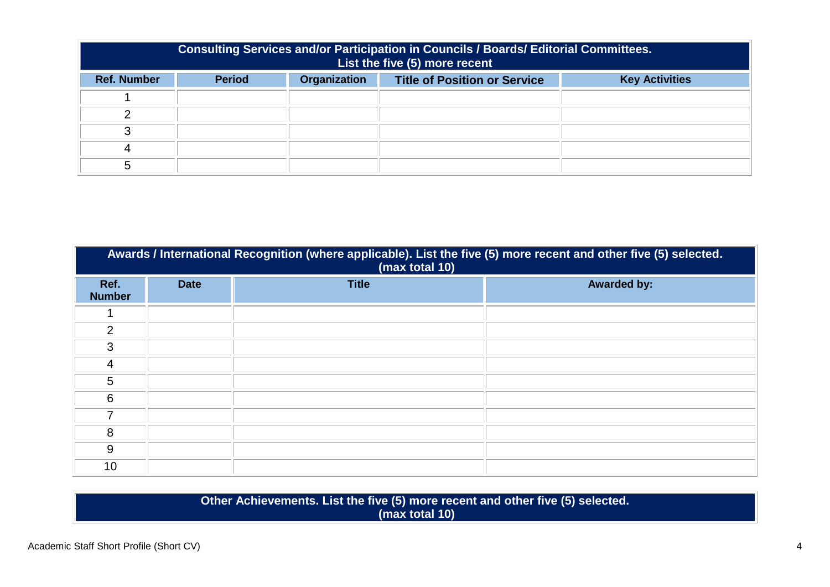| Consulting Services and/or Participation in Councils / Boards/ Editorial Committees.<br>List the five (5) more recent |                                                                                                      |  |  |  |  |  |
|-----------------------------------------------------------------------------------------------------------------------|------------------------------------------------------------------------------------------------------|--|--|--|--|--|
| <b>Ref. Number</b>                                                                                                    | <b>Organization</b><br><b>Period</b><br><b>Title of Position or Service</b><br><b>Key Activities</b> |  |  |  |  |  |
|                                                                                                                       |                                                                                                      |  |  |  |  |  |
|                                                                                                                       |                                                                                                      |  |  |  |  |  |
|                                                                                                                       |                                                                                                      |  |  |  |  |  |
|                                                                                                                       |                                                                                                      |  |  |  |  |  |
|                                                                                                                       |                                                                                                      |  |  |  |  |  |

| Awards / International Recognition (where applicable). List the five (5) more recent and other five (5) selected.<br>(max total 10) |             |              |                    |  |  |  |
|-------------------------------------------------------------------------------------------------------------------------------------|-------------|--------------|--------------------|--|--|--|
| Ref.<br><b>Number</b>                                                                                                               | <b>Date</b> | <b>Title</b> | <b>Awarded by:</b> |  |  |  |
|                                                                                                                                     |             |              |                    |  |  |  |
| 2                                                                                                                                   |             |              |                    |  |  |  |
| 3                                                                                                                                   |             |              |                    |  |  |  |
| 4                                                                                                                                   |             |              |                    |  |  |  |
| 5                                                                                                                                   |             |              |                    |  |  |  |
| 6                                                                                                                                   |             |              |                    |  |  |  |
| 7                                                                                                                                   |             |              |                    |  |  |  |
| 8                                                                                                                                   |             |              |                    |  |  |  |
| 9                                                                                                                                   |             |              |                    |  |  |  |
| 10                                                                                                                                  |             |              |                    |  |  |  |

**Other Achievements. List the five (5) more recent and other five (5) selected. (max total 10)**